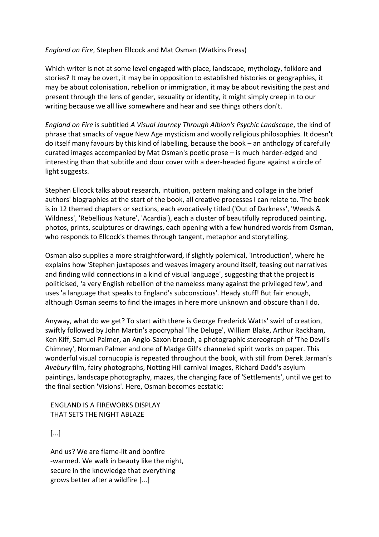## *England on Fire*, Stephen Ellcock and Mat Osman (Watkins Press)

Which writer is not at some level engaged with place, landscape, mythology, folklore and stories? It may be overt, it may be in opposition to established histories or geographies, it may be about colonisation, rebellion or immigration, it may be about revisiting the past and present through the lens of gender, sexuality or identity, it might simply creep in to our writing because we all live somewhere and hear and see things others don't.

*England on Fire* is subtitled *A Visual Journey Through Albion's Psychic Landscape*, the kind of phrase that smacks of vague New Age mysticism and woolly religious philosophies. It doesn't do itself many favours by this kind of labelling, because the book – an anthology of carefully curated images accompanied by Mat Osman's poetic prose – is much harder-edged and interesting than that subtitle and dour cover with a deer-headed figure against a circle of light suggests.

Stephen Ellcock talks about research, intuition, pattern making and collage in the brief authors' biographies at the start of the book, all creative processes I can relate to. The book is in 12 themed chapters or sections, each evocatively titled ('Out of Darkness', 'Weeds & Wildness', 'Rebellious Nature', 'Acardia'), each a cluster of beautifully reproduced painting, photos, prints, sculptures or drawings, each opening with a few hundred words from Osman, who responds to Ellcock's themes through tangent, metaphor and storytelling.

Osman also supplies a more straightforward, if slightly polemical, 'Introduction', where he explains how 'Stephen juxtaposes and weaves imagery around itself, teasing out narratives and finding wild connections in a kind of visual language', suggesting that the project is politicised, 'a very English rebellion of the nameless many against the privileged few', and uses 'a language that speaks to England's subconscious'. Heady stuff! But fair enough, although Osman seems to find the images in here more unknown and obscure than I do.

Anyway, what do we get? To start with there is George Frederick Watts' swirl of creation, swiftly followed by John Martin's apocryphal 'The Deluge', William Blake, Arthur Rackham, Ken Kiff, Samuel Palmer, an Anglo-Saxon brooch, a photographic stereograph of 'The Devil's Chimney', Norman Palmer and one of Madge Gill's channeled spirit works on paper. This wonderful visual cornucopia is repeated throughout the book, with still from Derek Jarman's *Avebury* film, fairy photographs, Notting Hill carnival images, Richard Dadd's asylum paintings, landscape photography, mazes, the changing face of 'Settlements', until we get to the final section 'Visions'. Here, Osman becomes ecstatic:

 ENGLAND IS A FIREWORKS DISPLAY THAT SETS THE NIGHT ABLAZE

[...]

 And us? We are flame-lit and bonfire -warmed. We walk in beauty like the night, secure in the knowledge that everything grows better after a wildfire [...]